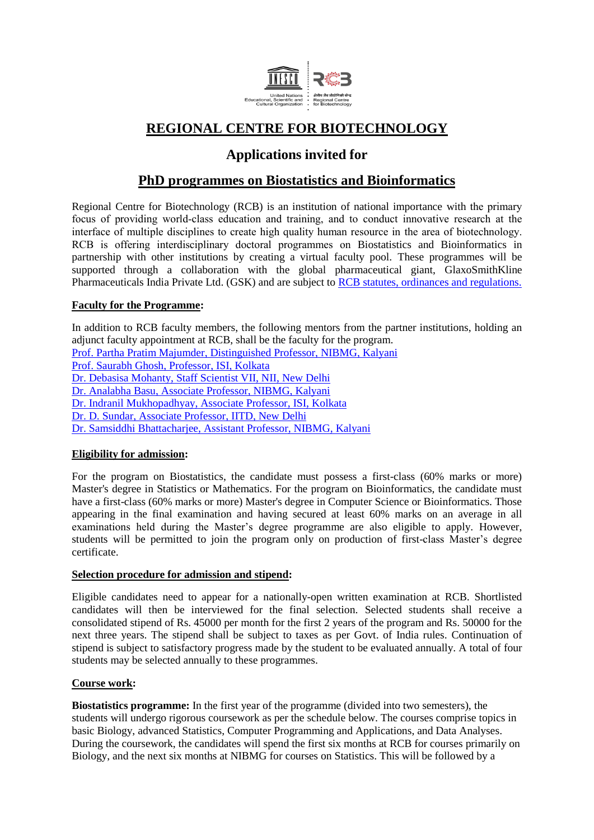

# **REGIONAL CENTRE FOR BIOTECHNOLOGY**

# **Applications invited for**

## **PhD programmes on Biostatistics and Bioinformatics**

Regional Centre for Biotechnology (RCB) is an institution of national importance with the primary focus of providing world-class education and training, and to conduct innovative research at the interface of multiple disciplines to create high quality human resource in the area of biotechnology. RCB is offering interdisciplinary doctoral programmes on Biostatistics and Bioinformatics in partnership with other institutions by creating a virtual faculty pool. These programmes will be supported through a collaboration with the global pharmaceutical giant, GlaxoSmithKline Pharmaceuticals India Private Ltd. (GSK) and are subject to [RCB statutes, ordinances and regulations.](http://rcb.res.in/index.php?param=footer/2029)

### **Faculty for the Programme:**

In addition to RCB faculty members, the following mentors from the partner institutions, holding an adjunct faculty appointment at RCB, shall be the faculty for the program. [Prof. Partha Pratim Majumder, Distinguished Professor, NIBMG, Kalyani](http://www.nibmg.ac.in/?q=content/ppm1-research) [Prof. Saurabh Ghosh, Professor, ISI, Kolkata](https://www.isical.ac.in/~saurabh/) [Dr. Debasisa Mohanty, Staff Scientist VII, NII, New Delhi](http://www1.nii.res.in/research/debasisa-mohanty) [Dr. Analabha Basu, Associate Professor, NIBMG, Kalyani](http://www.nibmg.ac.in/?q=content/ab1-research) Dr. Indranil [Mukhopadhyay, Associate Professor, ISI, Kolkata](https://www.isical.ac.in/~hgu/Indranil.htm) [Dr. D. Sundar, Associate Professor, IITD, New Delhi](http://web.iitd.ac.in/~sundar/) [Dr. Samsiddhi Bhattacharjee, Assistant Professor, NIBMG, Kalyani](http://www.nibmg.ac.in/?q=content/sb1-research)

### **Eligibility for admission:**

For the program on Biostatistics, the candidate must possess a first-class (60% marks or more) Master's degree in Statistics or Mathematics. For the program on Bioinformatics, the candidate must have a first-class (60% marks or more) Master's degree in Computer Science or Bioinformatics. Those appearing in the final examination and having secured at least 60% marks on an average in all examinations held during the Master's degree programme are also eligible to apply. However, students will be permitted to join the program only on production of first-class Master's degree certificate.

#### **Selection procedure for admission and stipend:**

Eligible candidates need to appear for a nationally-open written examination at RCB. Shortlisted candidates will then be interviewed for the final selection. Selected students shall receive a consolidated stipend of Rs. 45000 per month for the first 2 years of the program and Rs. 50000 for the next three years. The stipend shall be subject to taxes as per Govt. of India rules. Continuation of stipend is subject to satisfactory progress made by the student to be evaluated annually. A total of four students may be selected annually to these programmes.

### **Course work:**

**Biostatistics programme:** In the first year of the programme (divided into two semesters), the students will undergo rigorous coursework as per the schedule below. The courses comprise topics in basic Biology, advanced Statistics, Computer Programming and Applications, and Data Analyses. During the coursework, the candidates will spend the first six months at RCB for courses primarily on Biology, and the next six months at NIBMG for courses on Statistics. This will be followed by a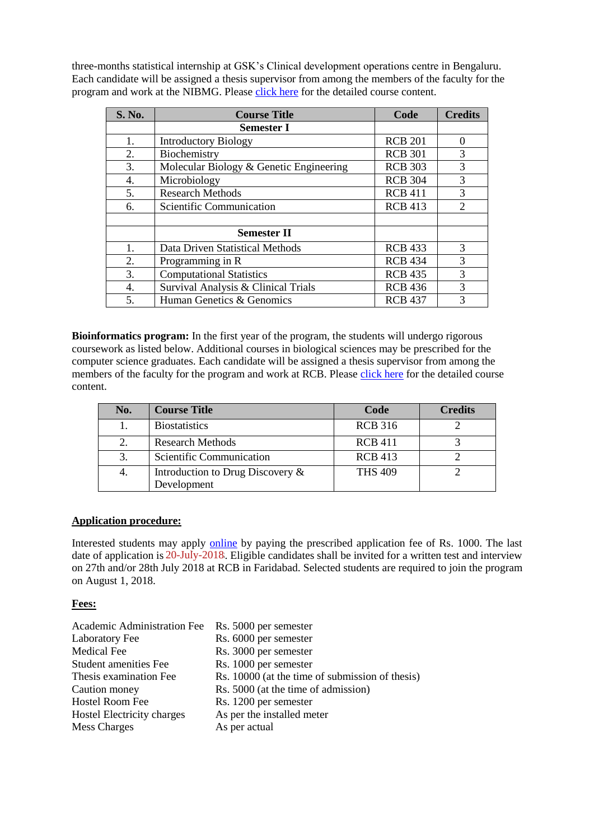three-months statistical internship at GSK's Clinical development operations centre in Bengaluru. Each candidate will be assigned a thesis supervisor from among the members of the faculty for the program and work at the NIBMG. Please [click here](http://rcb.res.in/upload/MSc-PhD_curriculum_FINAL.pdf) for the detailed course content.

| S. No. | <b>Course Title</b>                     | Code           | <b>Credits</b>              |
|--------|-----------------------------------------|----------------|-----------------------------|
|        | <b>Semester I</b>                       |                |                             |
| 1.     | <b>Introductory Biology</b>             | <b>RCB 201</b> | $\Omega$                    |
| 2.     | Biochemistry                            | <b>RCB 301</b> | 3                           |
| 3.     | Molecular Biology & Genetic Engineering | <b>RCB 303</b> | 3                           |
| 4.     | Microbiology                            | <b>RCB 304</b> | 3                           |
| 5.     | <b>Research Methods</b>                 | <b>RCB 411</b> | 3                           |
| 6.     | Scientific Communication                | <b>RCB 413</b> | $\mathcal{D}_{\mathcal{L}}$ |
|        |                                         |                |                             |
|        | <b>Semester II</b>                      |                |                             |
| 1.     | Data Driven Statistical Methods         | <b>RCB 433</b> | 3                           |
| 2.     | Programming in R                        | <b>RCB 434</b> | 3                           |
| 3.     | <b>Computational Statistics</b>         | <b>RCB 435</b> | 3                           |
| 4.     | Survival Analysis & Clinical Trials     | <b>RCB 436</b> | 3                           |
| 5.     | Human Genetics & Genomics               | <b>RCB 437</b> | 3                           |

**Bioinformatics program:** In the first year of the program, the students will undergo rigorous coursework as listed below. Additional courses in biological sciences may be prescribed for the computer science graduates. Each candidate will be assigned a thesis supervisor from among the members of the faculty for the program and work at RCB. Please [click here](http://rcb.res.in/upload/MSc-PhD_curriculum_FINAL.pdf) for the detailed course content.

| No. | <b>Course Title</b>                 | Code           | <b>Credits</b> |
|-----|-------------------------------------|----------------|----------------|
|     | <b>Biostatistics</b>                | <b>RCB 316</b> |                |
| 2.  | <b>Research Methods</b>             | <b>RCB 411</b> |                |
| 3.  | Scientific Communication            | <b>RCB 413</b> |                |
| 4.  | Introduction to Drug Discovery $\&$ | <b>THS 409</b> |                |
|     | Development                         |                |                |

#### **Application procedure:**

Interested students may apply [online](http://162.144.90.128/rcb-portal-new) by paying the prescribed application fee of Rs. 1000. The last date of application is 20-July-2018. Eligible candidates shall be invited for a written test and interview on August 1, 2018. on 27th and/or 28th July 2018 at RCB in Faridabad. Selected students are required to join the program

### **Fees:**

| Rs. 5000 per semester                           |
|-------------------------------------------------|
| Rs. 6000 per semester                           |
| Rs. 3000 per semester                           |
| Rs. 1000 per semester                           |
| Rs. 10000 (at the time of submission of thesis) |
| Rs. 5000 (at the time of admission)             |
| Rs. 1200 per semester                           |
| As per the installed meter                      |
| As per actual                                   |
|                                                 |